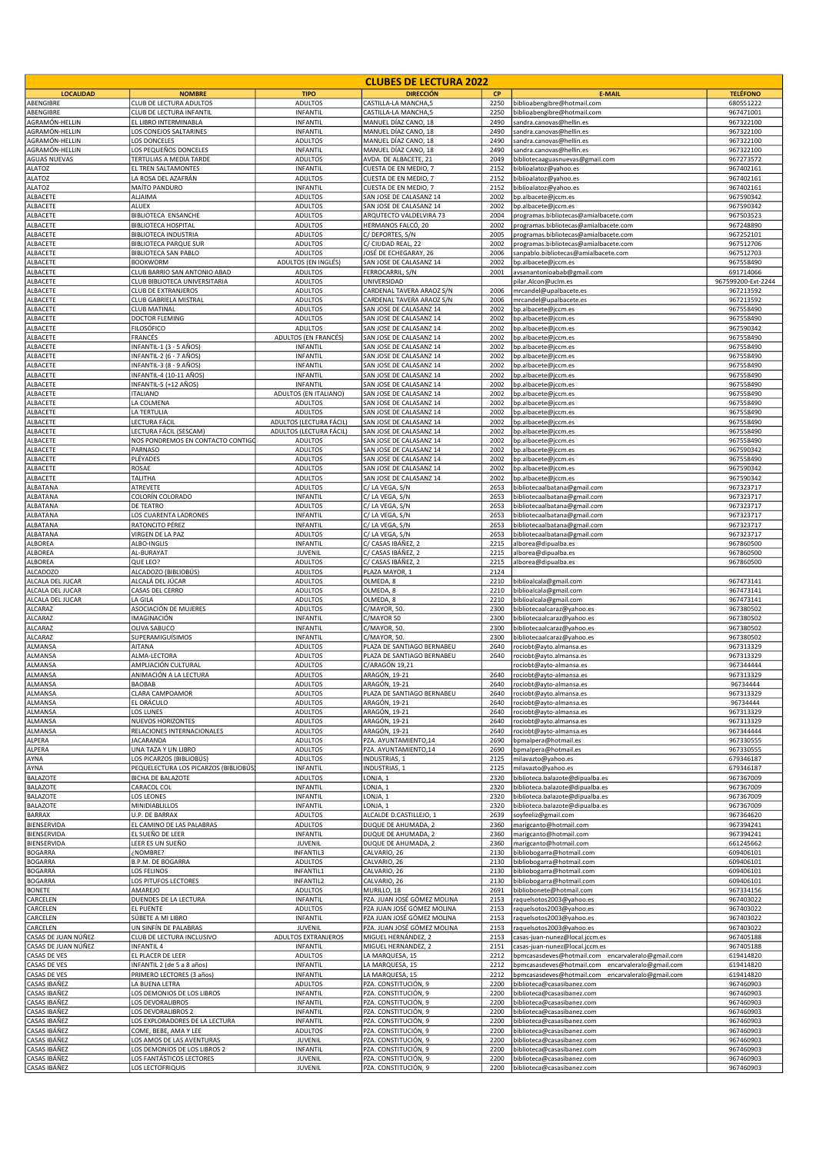|                                      |                                                             |                                                    | <b>CLUBES DE LECTURA 2022</b>                      |              |                                                                                    |                        |
|--------------------------------------|-------------------------------------------------------------|----------------------------------------------------|----------------------------------------------------|--------------|------------------------------------------------------------------------------------|------------------------|
| <b>LOCALIDAD</b>                     | <b>NOMBRE</b>                                               | <b>TIPO</b>                                        | <b>DIRECCIÓN</b>                                   | <b>CP</b>    | <b>E-MAIL</b>                                                                      | <b>TELÉFONO</b>        |
| ABENGIBRE                            | CLUB DE LECTURA ADULTOS                                     | <b>ADULTOS</b>                                     | CASTILLA-LA MANCHA,5                               | 2250         | biblioabengibre@hotmail.com                                                        | 680551222              |
| ABENGIBRE<br>AGRAMÓN-HELLIN          | CLUB DE LECTURA INFANTIL<br>EL LIBRO INTERMINABLA           | INFANTIL<br>INFANTIL                               | CASTILLA-LA MANCHA,5<br>MANUEL DÍAZ CANO, 18       | 2250<br>2490 | biblioabengibre@hotmail.com<br>sandra.canovas@hellin.es                            | 967471001<br>967322100 |
| AGRAMÓN-HELLIN                       | LOS CONEJOS SALTARINES                                      | INFANTIL                                           | MANUEL DÍAZ CANO, 18                               | 2490         | sandra.canovas@hellin.es                                                           | 967322100              |
| AGRAMÓN-HELLIN                       | LOS DONCELES                                                | ADULTOS                                            | MANUEL DÍAZ CANO, 18                               | 2490         | sandra.canovas@hellin.es                                                           | 967322100              |
| AGRAMÓN-HELLIN                       | LOS PEQUEÑOS DONCELES                                       | INFANTIL                                           | MANUEL DÍAZ CANO, 18<br>AVDA. DE ALBACETE, 21      | 2490         | sandra.canovas@hellin.es                                                           | 967322100              |
| <b>AGUAS NUEVAS</b><br><b>ALATOZ</b> | TERTULIAS A MEDIA TARDE<br>EL TREN SALTAMONTES              | <b>ADULTOS</b><br>INFANTIL                         | CUESTA DE EN MEDIO, 7                              | 2049<br>2152 | bibliotecaaguasnuevas@gmail.com<br>biblioalatoz@yahoo.es                           | 967273572<br>967402161 |
| <b>ALATOZ</b>                        | LA ROSA DEL AZAFRÁN                                         | <b>ADULTOS</b>                                     | CUESTA DE EN MEDIO, 7                              | 2152         | biblioalatoz@yahoo.es                                                              | 967402161              |
| <b>ALATOZ</b>                        | MAÍTO PANDURO                                               | <b>INFANTIL</b>                                    | CUESTA DE EN MEDIO, 7                              | 2152         | biblioalatoz@yahoo.es                                                              | 967402161              |
| ALBACETE<br>ALBACETE                 | ALJAIMA<br><b>ALUEX</b>                                     | ADULTOS<br>ADULTOS                                 | SAN JOSE DE CALASANZ 14<br>SAN JOSE DE CALASANZ 14 | 2002<br>2002 | bp.albacete@jccm.es                                                                | 967590342<br>967590342 |
| ALBACETE                             | <b>BIBLIOTECA ENSANCHE</b>                                  | <b>ADULTOS</b>                                     | ARQUTECTO VALDELVIRA 73                            | 2004         | bp.albacete@jccm.es<br>programas.bibliotecas@amialbacete.com                       | 967503523              |
| ALBACETE                             | <b>BIBLIOTECA HOSPITAL</b>                                  | <b>ADULTOS</b>                                     | HERMANOS FALCÓ, 20                                 | 2002         | programas.bibliotecas@amialbacete.com                                              | 967248890              |
| ALBACETE                             | <b>BIBLIOTECA INDUSTRIA</b>                                 | <b>ADULTOS</b>                                     | C/ DEPORTES, S/N                                   | 2005         | programas.bibliotecas@amialbacete.com                                              | 967252101              |
| ALBACETE<br>ALBACETE                 | <b>BIBLIOTECA PARQUE SUR</b><br><b>BIBLIOTECA SAN PABLO</b> | ADULTOS<br><b>ADULTOS</b>                          | C/ CIUDAD REAL, 22<br>JOSÉ DE ECHEGARAY, 26        | 2002<br>2006 | programas.bibliotecas@amialbacete.com<br>sanpablo.bibliotecas@amialbacete.com      | 967512706<br>967512703 |
| ALBACETE                             | <b>BOOKWORM</b>                                             | ADULTOS (EN INGLÉS)                                | SAN JOSE DE CALASANZ 14                            | 2002         | bp.albacete@jccm.es                                                                | 967558490              |
| ALBACETE                             | CLUB BARRIO SAN ANTONIO ABAD                                | ADULTOS                                            | FERROCARRIL, S/N                                   | 2001         | avsanantonioabab@gmail.com                                                         | 691714066              |
| ALBACETE<br>ALBACETE                 | CLUB BIBLIOTECA UNIVERSITARIA<br><b>CLUB DE EXTRANJEROS</b> | <b>ADULTOS</b><br><b>ADULTOS</b>                   | UNIVERSIDAD<br>CARDENAL TAVERA ARAOZ S/N           | 2006         | pilar.Alcon@uclm.es                                                                | 967599200-Ext-2244     |
| ALBACETE                             | CLUB GABRIELA MISTRAL                                       | <b>ADULTOS</b>                                     | CARDENAL TAVERA ARAOZ S/N                          | 2006         | mrcandel@upalbacete.es<br>mrcandel@upalbacete.es                                   | 967213592<br>967213592 |
| ALBACETE                             | <b>CLUB MATINAL</b>                                         | ADULTOS                                            | SAN JOSE DE CALASANZ 14                            | 2002         | bp.albacete@jccm.es                                                                | 967558490              |
| ALBACETE                             | DOCTOR FLEMING                                              | <b>ADULTOS</b>                                     | SAN JOSE DE CALASANZ 14                            | 2002         | bp.albacete@jccm.es                                                                | 967558490              |
| ALBACETE<br>ALBACETE                 | <b>FILOSÓFICO</b><br>FRANCÉS                                | <b>ADULTOS</b><br>ADULTOS (EN FRANCÉS)             | SAN JOSE DE CALASANZ 14<br>SAN JOSE DE CALASANZ 14 | 2002<br>2002 | bp.albacete@jccm.es<br>bp.albacete@jccm.es                                         | 967590342<br>967558490 |
| ALBACETE                             | INFANTIL-1 (3 - 5 AÑOS)                                     | INFANTIL                                           | SAN JOSE DE CALASANZ 14                            | 2002         | bp.albacete@jccm.es                                                                | 967558490              |
| ALBACETE                             | INFANTIL-2 (6 - 7 AÑOS)                                     | INFANTIL                                           | SAN JOSE DE CALASANZ 14                            | 2002         | bp.albacete@jccm.es                                                                | 967558490              |
| ALBACETE                             | INFANTIL-3 (8 - 9 AÑOS)                                     | INFANTIL                                           | SAN JOSE DE CALASANZ 14                            | 2002         | bp.albacete@jccm.es                                                                | 967558490              |
| ALBACETE<br>ALBACETE                 | INFANTIL-4 (10-11 AÑOS)<br>INFANTIL-5 (+12 AÑOS)            | INFANTIL<br>INFANTIL                               | SAN JOSE DE CALASANZ 14<br>SAN JOSE DE CALASANZ 14 | 2002<br>2002 | bp.albacete@jccm.es<br>bp.albacete@jccm.es                                         | 967558490<br>967558490 |
| ALBACETE                             | <b>ITALIANO</b>                                             | ADULTOS (EN ITALIANO)                              | SAN JOSE DE CALASANZ 14                            | 2002         | bp.albacete@jccm.es                                                                | 967558490              |
| ALBACETE                             | LA COLMENA                                                  | <b>ADULTOS</b>                                     | SAN JOSE DE CALASANZ 14                            | 2002         | bp.albacete@jccm.es                                                                | 967558490              |
| ALBACETE                             | LA TERTULIA                                                 | ADULTOS                                            | SAN JOSE DE CALASANZ 14                            | 2002         | bp.albacete@jccm.es                                                                | 967558490              |
| ALBACETE<br>ALBACETE                 | LECTURA FÁCIL<br>LECTURA FÁCIL (SESCAM)                     | ADULTOS (LECTURA FÁCIL)<br>ADULTOS (LECTURA FÁCIL) | SAN JOSE DE CALASANZ 14<br>SAN JOSE DE CALASANZ 14 | 2002<br>2002 | bp.albacete@jccm.es<br>bp.albacete@jccm.es                                         | 967558490<br>967558490 |
| ALBACETE                             | NOS PONDREMOS EN CONTACTO CONTIGO                           | <b>ADULTOS</b>                                     | SAN JOSE DE CALASANZ 14                            | 2002         | bp.albacete@jccm.es                                                                | 967558490              |
| ALBACETE                             | PARNASO                                                     | <b>ADULTOS</b>                                     | SAN JOSE DE CALASANZ 14                            | 2002         | bp.albacete@jccm.es                                                                | 967590342              |
| ALBACETE                             | PLÉYADES                                                    | <b>ADULTOS</b>                                     | SAN JOSE DE CALASANZ 14                            | 2002         | bp.albacete@jccm.es                                                                | 967558490              |
| ALBACETE<br>ALBACETE                 | ROSAE<br>TALITHA                                            | <b>ADULTOS</b><br>ADULTOS                          | SAN JOSE DE CALASANZ 14<br>SAN JOSE DE CALASANZ 14 | 2002<br>2002 | bp.albacete@jccm.es<br>bp.albacete@jccm.es                                         | 967590342<br>967590342 |
| ALBATANA                             | ATREVETE                                                    | ADULTOS                                            | C/LA VEGA, S/N                                     | 2653         | bibliotecaalbatana@gmail.com                                                       | 967323717              |
| ALBATANA                             | COLORÍN COLORADO                                            | INFANTIL                                           | C/LA VEGA, S/N                                     | 2653         | bibliotecaalbatana@gmail.com                                                       | 967323717              |
| ALBATANA                             | DE TEATRO                                                   | <b>ADULTOS</b>                                     | C/LA VEGA, S/N                                     | 2653         | bibliotecaalbatana@gmail.com                                                       | 967323717              |
| ALBATANA<br>ALBATANA                 | LOS CUARENTA LADRONES<br>RATONCITO PÉREZ                    | INFANTIL<br>INFANTIL                               | C/LA VEGA, S/N<br>C/ LA VEGA, S/N                  | 2653<br>2653 | bibliotecaalbatana@gmail.com                                                       | 967323717<br>967323717 |
| ALBATANA                             | VIRGEN DE LA PAZ                                            | ADULTOS                                            | C/LA VEGA, S/N                                     | 2653         | bibliotecaalbatana@gmail.com<br>bibliotecaalbatana@gmail.com                       | 967323717              |
| ALBOREA                              | ALBO-INGLIS                                                 | INFANTIL                                           | C/ CASAS IBÁÑEZ, 2                                 | 2215         | alborea@dipualba.es                                                                | 967860500              |
| <b>ALBOREA</b>                       | AL-BURAYAT                                                  | JUVENIL                                            | C/ CASAS IBÁÑEZ, 2                                 | 2215         | alborea@dipualba.es                                                                | 967860500              |
| <b>ALBOREA</b><br><b>ALCADOZO</b>    | QUE LEO?<br>ALCADOZO (BIBLIOBÚS)                            | <b>ADULTOS</b><br><b>ADULTOS</b>                   | C/ CASAS IBÁÑEZ, 2<br>PLAZA MAYOR, 1               | 2215<br>2124 | alborea@dipualba.es                                                                | 967860500              |
| ALCALA DEL JUCAR                     | ALCALÁ DEL JÚCAR                                            | ADULTOS                                            | OLMEDA, 8                                          | 2210         | biblioalcala@gmail.com                                                             | 967473141              |
| ALCALA DEL JUCAR                     | CASAS DEL CERRO                                             | <b>ADULTOS</b>                                     | OLMEDA, 8                                          | 2210         | biblioalcala@gmail.com                                                             | 967473141              |
| ALCALA DEL JUCAR                     | LA GILA                                                     | <b>ADULTOS</b>                                     | OLMEDA, 8                                          | 2210         | biblioalcala@gmail.com                                                             | 967473141              |
| ALCARAZ<br><b>ALCARAZ</b>            | ASOCIACIÓN DE MUJERES<br>IMAGINACIÓN                        | ADULTOS<br><b>INFANTIL</b>                         | C/MAYOR, 50.<br>C/MAYOR 50                         | 2300<br>2300 | bibliotecaalcaraz@yahoo.es<br>bibliotecaalcaraz@yahoo.es                           | 967380502<br>967380502 |
| <b>ALCARAZ</b>                       | OLIVA SABUCO                                                | INFANTIL                                           | C/MAYOR, 50.                                       | 2300         | bibliotecaalcaraz@yahoo.es                                                         | 967380502              |
| ALCARAZ                              | SUPERAMIGUÍSIMOS                                            | INFANTIL                                           | C/MAYOR, 50.                                       | 2300         | bibliotecaalcaraz@yahoo.es                                                         | 967380502              |
| ALMANSA                              | AITANA                                                      | ADULTOS                                            | PLAZA DE SANTIAGO BERNABEU                         | 2640         | rociobt@ayto.almansa.es                                                            | 967313329              |
| ALMANSA<br>ALMANSA                   | ALMA-LECTORA<br>AMPLIACIÓN CULTURAL                         | <b>ADULTOS</b><br><b>ADULTOS</b>                   | PLAZA DE SANTIAGO BERNABEU<br>C/ARAGÓN 19,21       | 2640         | rociobt@ayto.almansa.es<br>rociobt@ayto-almansa.es                                 | 967313329<br>967344444 |
| ALMANSA                              | ANIMACIÓN A LA LECTURA                                      | <b>ADULTOS</b>                                     | ARAGÓN, 19-21                                      | 2640         | rociobt@ayto-almansa.es                                                            | 967313329              |
| ALMANSA                              | BAOBAB                                                      | <b>ADULTOS</b>                                     | ARAGÓN, 19-21                                      | 2640         | rociobt@ayto-almansa.es                                                            | 96734444               |
| ALMANSA<br>ALMANSA                   | CLARA CAMPOAMOR<br>EL ORÁCULO                               | <b>ADULTOS</b><br>ADULTOS                          | PLAZA DE SANTIAGO BERNABEU<br>ARAGÓN, 19-21        | 2640<br>2640 | rociobt@ayto.almansa.es<br>rociobt@ayto-almansa.es                                 | 967313329<br>96734444  |
| ALMANSA                              | LOS LUNES                                                   | <b>ADULTOS</b>                                     | ARAGÓN, 19-21                                      | 2640         | rociobt@ayto-almansa.es                                                            | 967313329              |
| ALMANSA                              | <b>NUEVOS HORIZONTES</b>                                    | <b>ADULTOS</b>                                     | ARAGÓN, 19-21                                      | 2640         | rociobt@ayto.almansa.es                                                            | 967313329              |
| ALMANSA                              | RELACIONES INTERNACIONALES                                  | <b>ADULTOS</b>                                     | ARAGÓN, 19-21                                      | 2640         | rociobt@ayto-almansa.es                                                            | 967344444              |
| ALPERA<br>ALPERA                     | <b>JACARANDA</b>                                            | ADULTOS<br><b>ADULTOS</b>                          | PZA. AYUNTAMIENTO,14<br>PZA. AYUNTAMIENTO,14       | 2690         | bpmalpera@hotmail.es                                                               | 967330555              |
| AYNA                                 | UNA TAZA Y UN LIBRO<br>LOS PICARZOS (BIBLIOBÚS)             | <b>ADULTOS</b>                                     | INDUSTRIAS, 1                                      | 2690<br>2125 | bpmalpera@hotmail.es<br>milavazto@yahoo.es                                         | 967330555<br>679346187 |
| AYNA                                 | PEQUELECTURA LOS PICARZOS (BIBLIOBÚS                        | INFANTIL                                           | INDUSTRIAS, 1                                      | 2125         | milavazto@yahoo.es                                                                 | 679346187              |
| BALAZOTE                             | <b>BICHA DE BALAZOTE</b>                                    | <b>ADULTOS</b>                                     | LONJA, 1                                           | 2320         | biblioteca.balazote@dipualba.es                                                    | 967367009              |
| <b>BALAZOTE</b><br>BALAZOTE          | CARACOL COL<br>LOS LEONES                                   | <b>INFANTIL</b><br><b>INFANTIL</b>                 | LONJA, 1<br>LONJA, 1                               | 2320<br>2320 | biblioteca.balazote@dipualba.es<br>biblioteca.balazote@dipualba.es                 | 967367009<br>967367009 |
| BALAZOTE                             | MINIDIABLILLOS                                              | <b>INFANTIL</b>                                    | LONJA, 1                                           | 2320         | biblioteca.balazote@dipualba.es                                                    | 967367009              |
| <b>BARRAX</b>                        | U.P. DE BARRAX                                              | <b>ADULTOS</b>                                     | ALCALDE D.CASTILLEJO, 1                            | 2639         | soyfeeliz@gmail.com                                                                | 967364620              |
| BIENSERVIDA                          | EL CAMINO DE LAS PALABRAS                                   | <b>ADULTOS</b>                                     | DUQUE DE AHUMADA, 2                                | 2360         | marigcanto@hotmail.com                                                             | 967394241              |
| BIENSERVIDA<br>BIENSERVIDA           | EL SUEÑO DE LEER<br>LEER ES UN SUEÑO                        | INFANTIL<br><b>JUVENIL</b>                         | DUQUE DE AHUMADA, 2<br>DUQUE DE AHUMADA, 2         | 2360<br>2360 | marigcanto@hotmail.com<br>marigcanto@hotmail.com                                   | 967394241<br>661245662 |
| <b>BOGARRA</b>                       | NOMBRE?                                                     | <b>INFANTIL3</b>                                   | CALVARIO, 26                                       | 2130         | bibliobogarra@hotmail.com                                                          | 609406101              |
| <b>BOGARRA</b>                       | B.P.M. DE BOGARRA                                           | <b>ADULTOS</b>                                     | CALVARIO, 26                                       | 2130         | bibliobogarra@hotmail.com                                                          | 609406101              |
| <b>BOGARRA</b>                       | LOS FELINOS                                                 | INFANTIL1                                          | CALVARIO, 26                                       | 2130         | bibliobogarra@hotmail.com                                                          | 609406101              |
| <b>BOGARRA</b><br><b>BONETE</b>      | LOS PITUFOS LECTORES<br>AMAREJO                             | INFANTIL2<br><b>ADULTOS</b>                        | CALVARIO, 26<br>MURILLO, 18                        | 2130<br>2691 | bibliobogarra@hotmail.com<br>bibliobonete@hotmail.com                              | 609406101<br>967334156 |
| CARCELEN                             | DUENDES DE LA LECTURA                                       | INFANTIL                                           | PZA. JUAN JOSÉ GÓMEZ MOLINA                        | 2153         | raquelsotos2003@yahoo.es                                                           | 967403022              |
| CARCELEN                             | EL PUENTE                                                   | ADULTOS                                            | PZA JUAN JOSÉ GÓMEZ MOLINA                         | 2153         | raquelsotos2003@yahoo.es                                                           | 967403022              |
| CARCELEN                             | SÚBETE A MI LIBRO                                           | <b>INFANTIL</b>                                    | PZA JUAN JOSÉ GÓMEZ MOLINA                         | 2153         | raquelsotos2003@yahoo.es                                                           | 967403022              |
| CARCELEN<br>CASAS DE JUAN NÚÑEZ      | UN SINFÍN DE PALABRAS<br>CLUB DE LECTURA INCLUSIVO          | JUVENIL<br>ADULTOS EXTRANJEROS                     | PZA. JUAN JOSÉ GÓMEZ MOLINA<br>MIGUEL HERNÁNDEZ, 2 | 2153<br>2153 | raquelsotos2003@yahoo.es<br>casas-juan-nunez@local.jccm.es                         | 967403022<br>967405188 |
| CASAS DE JUAN NÚÑEZ                  | <b>INFANTIL 4</b>                                           | <b>INFANTIL</b>                                    | MIGUEL HERNANDEZ, 2                                | 2151         | casas-juan-nunez@local.jccm.es                                                     | 967405188              |
| CASAS DE VES                         | EL PLACER DE LEER                                           | <b>ADULTOS</b>                                     | LA MARQUESA, 15                                    | 2212         | bpmcasasdeves@hotmail.com encarvaleralo@gmail.com                                  | 619414820              |
| CASAS DE VES                         | INFANTIL 2 (de 5 a 8 años)                                  | INFANTIL                                           | LA MARQUESA, 15                                    | 2212         | bpmcasasdeves@hotmail.com<br>encarvaleralo@gmail.com                               | 619414820              |
| CASAS DE VES<br>CASAS IBAÑEZ         | PRIMERO LECTORES (3 años)<br>LA BUENA LETRA                 | INFANTIL<br><b>ADULTOS</b>                         | LA MARQUESA, 15<br>PZA. CONSTITUCIÓN, 9            | 2212<br>2200 | bpmcasasdeves@hotmail.com<br>encarvaleralo@gmail.com<br>biblioteca@casasibanez.com | 619414820<br>967460903 |
| CASAS IBAÑEZ                         | LOS DEMONIOS DE LOS LIBROS                                  | INFANTIL                                           | PZA. CONSTITUCIÓN, 9                               | 2200         | biblioteca@casasibanez.com                                                         | 967460903              |
| CASAS IBAÑEZ                         | LOS DEVORALIBROS                                            | <b>INFANTIL</b>                                    | PZA. CONSTITUCIÓN, 9                               | 2200         | biblioteca@casasibanez.com                                                         | 967460903              |
| CASAS IBAÑEZ                         | <b>LOS DEVORALIBROS 2</b>                                   | <b>INFANTIL</b>                                    | PZA. CONSTITUCIÓN, 9                               | 2200         | biblioteca@casasibanez.com                                                         | 967460903              |
| CASAS IBAÑEZ<br>CASAS IBÁÑEZ         | LOS EXPLORADORES DE LA LECTURA<br>COME, BEBE, AMA Y LEE     | <b>INFANTIL</b><br><b>ADULTOS</b>                  | PZA. CONSTITUCIÓN, 9<br>PZA. CONSTITUCIÓN, 9       | 2200<br>2200 | biblioteca@casasibanez.com<br>biblioteca@casasibanez.com                           | 967460903<br>967460903 |
| CASAS IBÁÑEZ                         | LOS AMOS DE LAS AVENTURAS                                   | <b>JUVENIL</b>                                     | PZA. CONSTITUCIÓN, 9                               | 2200         | biblioteca@casasibanez.com                                                         | 967460903              |
| CASAS IBÁÑEZ                         | LOS DEMONIOS DE LOS LIBROS 2                                | <b>INFANTIL</b>                                    | PZA. CONSTITUCIÓN, 9                               | 2200         | biblioteca@casasibanez.com                                                         | 967460903              |
| CASAS IBÁÑEZ                         | LOS FANTÁSTICOS LECTORES                                    | JUVENIL                                            | PZA. CONSTITUCIÓN, 9                               | 2200         | biblioteca@casasibanez.com                                                         | 967460903              |
| CASAS IBÁÑEZ                         | LOS LECTOFRIQUIS                                            | JUVENIL                                            | PZA. CONSTITUCIÓN, 9                               | 2200         | biblioteca@casasibanez.com                                                         | 967460903              |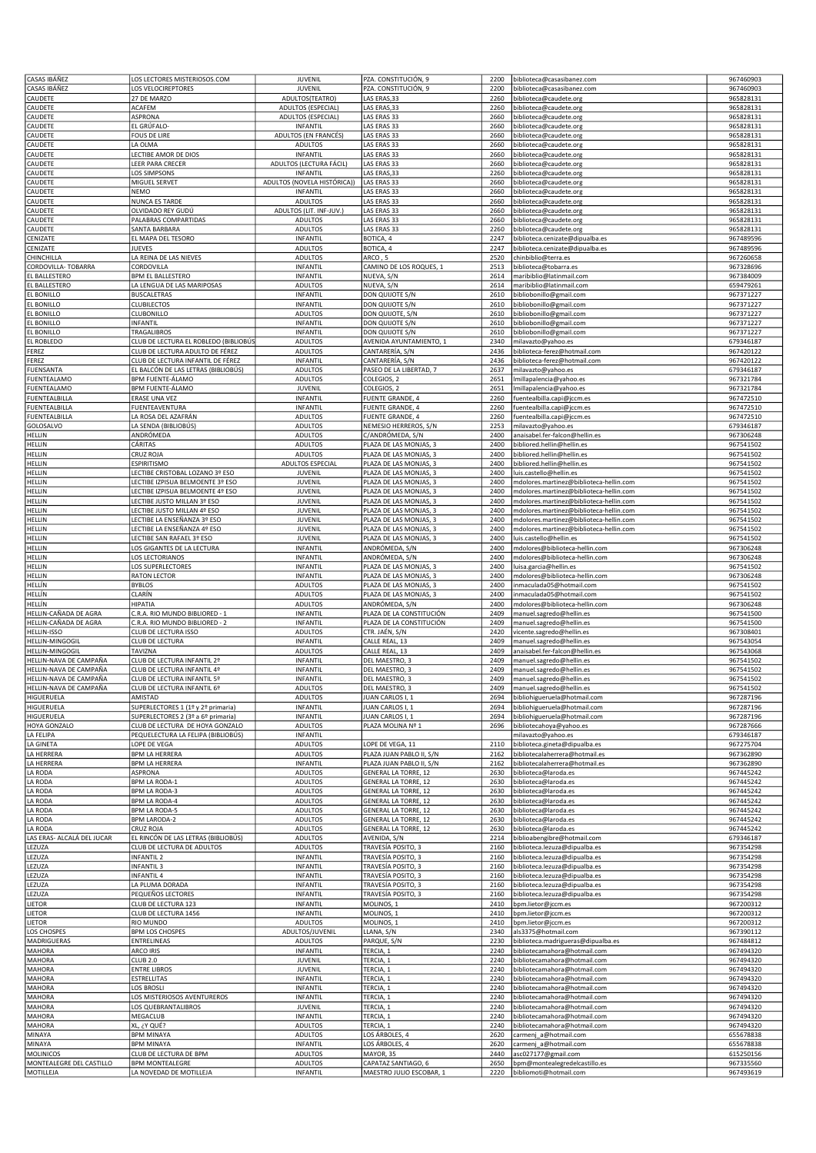| CASAS IBÁÑEZ                                   | LOS LECTORES MISTERIOSOS.COM                            | <b>JUVENIL</b>                                 | PZA. CONSTITUCIÓN, 9                                 | 2200         | biblioteca@casasibanez.com                                         | 967460903              |
|------------------------------------------------|---------------------------------------------------------|------------------------------------------------|------------------------------------------------------|--------------|--------------------------------------------------------------------|------------------------|
|                                                | LOS VELOCIREPTORES                                      | <b>JUVENIL</b>                                 | PZA. CONSTITUCIÓN, 9                                 | 2200         | biblioteca@casasibanez.com                                         | 967460903              |
| CAUDETE                                        | 27 DE MARZO                                             | ADULTOS(TEATRO)                                | LAS ERAS, 33                                         | 2260         | biblioteca@caudete.org                                             | 965828131              |
| CAUDETE                                        | <b>ACAFEM</b>                                           | ADULTOS (ESPECIAL)                             | LAS ERAS, 33                                         | 2260         | biblioteca@caudete.org                                             | 965828131<br>965828131 |
| CAUDETE<br>CAUDETE                             | ASPRONA<br>EL GRÚFALO-                                  | ADULTOS (ESPECIAL)<br>INFANTIL                 | LAS ERAS 33<br>LAS ERAS 33                           | 2660<br>2660 | biblioteca@caudete.org<br>biblioteca@caudete.org                   | 965828131              |
| CAUDETE                                        | <b>FOUS DE LIRE</b>                                     | ADULTOS (EN FRANCÉS)                           | LAS ERAS 33                                          | 2660         | biblioteca@caudete.org                                             | 965828131              |
| CAUDETE                                        | LA OLMA                                                 | <b>ADULTOS</b>                                 | LAS ERAS 33                                          | 2660         | biblioteca@caudete.org                                             | 965828131              |
| CAUDETE                                        | <b>LECTIBE AMOR DE DIOS</b>                             | INFANTIL                                       | LAS ERAS 33                                          | 2660         | biblioteca@caudete.org                                             | 965828131              |
| CAUDETE                                        | <b>LEER PARA CRECER</b>                                 | ADULTOS (LECTURA FÁCIL)                        | LAS ERAS 33                                          | 2660         | biblioteca@caudete.org                                             | 965828131              |
| CAUDETE<br>CAUDETE                             | LOS SIMPSONS<br>MIGUEL SERVET                           | <b>INFANTIL</b><br>ADULTOS (NOVELA HISTÓRICA)) | LAS ERAS, 33<br>LAS ERAS 33                          | 2260<br>2660 | biblioteca@caudete.org<br>biblioteca@caudete.org                   | 965828131<br>965828131 |
| CAUDETE                                        | NEMO                                                    | <b>INFANTIL</b>                                | LAS ERAS 33                                          | 2660         | biblioteca@caudete.org                                             | 965828131              |
| CAUDETE                                        | NUNCA ES TARDE                                          | <b>ADULTOS</b>                                 | LAS ERAS 33                                          | 2660         | biblioteca@caudete.org                                             | 965828131              |
| CAUDETE                                        | OLVIDADO REY GUDÚ                                       | ADULTOS (LIT. INF-JUV.)                        | LAS ERAS 33                                          | 2660         | biblioteca@caudete.org                                             | 965828131              |
| CAUDETE                                        | PALABRAS COMPARTIDAS                                    | <b>ADULTOS</b>                                 | LAS ERAS 33                                          | 2660         | biblioteca@caudete.org                                             | 965828131              |
| CAUDETE                                        | SANTA BARBARA                                           | <b>ADULTOS</b>                                 | LAS ERAS 33                                          | 2260         | biblioteca@caudete.org                                             | 965828131              |
| CENIZATE<br>CENIZATE                           | EL MAPA DEL TESORO<br><b>JUEVES</b>                     | INFANTIL<br><b>ADULTOS</b>                     | BOTICA, 4<br>BOTICA, 4                               | 2247<br>2247 | biblioteca.cenizate@dipualba.es<br>biblioteca.cenizate@dipualba.es | 967489596<br>967489596 |
| CHINCHILLA                                     | LA REINA DE LAS NIEVES                                  | <b>ADULTOS</b>                                 | ARCO, 5                                              | 2520         | chinbiblio@terra.es                                                | 967260658              |
| CORDOVILLA-TOBARRA                             | CORDOVILLA                                              | INFANTIL                                       | CAMINO DE LOS ROQUES, 1                              | 2513         | biblioteca@tobarra.es                                              | 967328696              |
| EL BALLESTERO                                  | <b>BPM EL BALLESTERO</b>                                | INFANTIL                                       | NUEVA, S/N                                           | 2614         | maribiblio@latinmail.com                                           | 967384009              |
| EL BALLESTERO                                  | A LENGUA DE LAS MARIPOSAS                               | <b>ADULTOS</b>                                 | NUEVA, S/N                                           | 2614         | maribiblio@latinmail.com                                           | 659479261              |
| EL BONILLO                                     | <b>BUSCALETRAS</b>                                      | INFANTIL                                       | DON QUIJOTE S/N                                      | 2610         | bibliobonillo@gmail.com                                            | 967371227              |
| EL BONILLO                                     | <b>CLUBILECTOS</b>                                      | INFANTIL                                       | DON QUIJOTE S/N                                      | 2610         | bibliobonillo@gmail.com                                            | 967371227              |
| EL BONILLO<br>EL BONILLO                       | CLUBONILLO<br><b>INFANTIL</b>                           | <b>ADULTOS</b><br><b>INFANTIL</b>              | DON QUIJOTE, S/N<br>DON QUIJOTE S/N                  | 2610<br>2610 | bibliobonillo@gmail.com<br>bibliobonillo@gmail.com                 | 967371227<br>967371227 |
| EL BONILLO                                     | TRAGALIBROS                                             | <b>INFANTIL</b>                                | DON QUIJOTE S/N                                      | 2610         | bibliobonillo@gmail.com                                            | 967371227              |
| EL ROBLEDO                                     | CLUB DE LECTURA EL ROBLEDO (BIBLIOBÚS                   | ADULTOS                                        | AVENIDA AYUNTAMIENTO, 1                              | 2340         | milavazto@yahoo.es                                                 | 679346187              |
| FEREZ                                          | CLUB DE LECTURA ADULTO DE FÉREZ                         | <b>ADULTOS</b>                                 | CANTARERÍA, S/N                                      | 2436         | biblioteca-ferez@hotmail.com                                       | 967420122              |
| FEREZ                                          | CLUB DE LECTURA INFANTIL DE FÉREZ                       | INFANTIL                                       | CANTARERÍA, S/N                                      | 2436         | biblioteca-ferez@hotmail.com                                       | 967420122              |
| <b>FUENSANTA</b>                               | EL BALCÓN DE LAS LETRAS (BIBLIOBÚS)                     | ADULTOS                                        | PASEO DE LA LIBERTAD, 7                              | 2637         | milavazto@yahoo.es                                                 | 679346187              |
| <b>FUENTEALAMO</b><br><b>FUENTEALAMO</b>       | <b>BPM FUENTE-ÁLAMO</b><br>BPM FUENTE-ÁLAMO             | <b>ADULTOS</b><br><b>JUVENIL</b>               | COLEGIOS, 2<br>COLEGIOS, 2                           | 2651<br>2651 | Imillapalencia@yahoo.es<br>Imillapalencia@yahoo.es                 | 967321784<br>967321784 |
| <b>FUENTEALBILLA</b>                           | <b>ERASE UNA VEZ</b>                                    | INFANTIL                                       | <b>FUENTE GRANDE, 4</b>                              | 2260         | fuentealbilla.capi@jccm.es                                         | 967472510              |
| FUENTEALBILLA                                  | <b>FUENTEAVENTURA</b>                                   | INFANTIL                                       | FUENTE GRANDE, 4                                     | 2260         | fuentealbilla.capi@jccm.es                                         | 967472510              |
| <b>FUENTEALBILLA</b>                           | A ROSA DEL AZAFRÁN                                      | <b>ADULTOS</b>                                 | FUENTE GRANDE, 4                                     | 2260         | fuentealbilla.capi@jccm.es                                         | 967472510              |
| GOLOSALVO                                      | A SENDA (BIBLIOBÚS)                                     | <b>ADULTOS</b>                                 | NEMESIO HERREROS, S/N                                | 2253         | milavazto@yahoo.es                                                 | 679346187              |
| HELLIN                                         | ANDRÓMEDA                                               | <b>ADULTOS</b>                                 | C/ANDRÓMEDA, S/N                                     | 2400         | anaisabel.fer-falcon@hellin.es                                     | 967306248              |
| HELLIN                                         | CÁRITAS                                                 | ADULTOS<br><b>ADULTOS</b>                      | PLAZA DE LAS MONJAS, 3                               | 2400         | bibliored.hellin@hellin.es                                         | 967541502              |
| HELLIN<br>HELLIN                               | CRUZ ROJA<br><b>ESPIRITISMO</b>                         | <b>ADULTOS ESPECIAL</b>                        | PLAZA DE LAS MONJAS, 3<br>PLAZA DE LAS MONJAS, 3     | 2400<br>2400 | bibliored.hellin@hellin.es<br>bibliored.hellin@hellin.es           | 967541502<br>967541502 |
| HELLIN                                         | LECTIBE CRISTOBAL LOZANO 3º ESO                         | JUVENIL                                        | PLAZA DE LAS MONJAS, 3                               | 2400         | luis.castello@hellin.es                                            | 967541502              |
| HELLIN                                         | <b>LECTIBE IZPISUA BELMOENTE 3º ESO</b>                 | <b>JUVENIL</b>                                 | PLAZA DE LAS MONJAS, 3                               | 2400         | mdolores.martinez@biblioteca-hellin.com                            | 967541502              |
| HELLIN                                         | ECTIBE IZPISUA BELMOENTE 4º ESO                         | JUVENIL                                        | PLAZA DE LAS MONJAS, 3                               | 2400         | mdolores.martinez@biblioteca-hellin.com                            | 967541502              |
| HELLIN                                         | <b>ECTIBE JUSTO MILLAN 3º ESO</b>                       | JUVENIL                                        | PLAZA DE LAS MONJAS, 3                               | 2400         | mdolores.martinez@biblioteca-hellin.com                            | 967541502              |
| HELLIN                                         | <b>LECTIBE JUSTO MILLAN 4º ESO</b>                      | <b>JUVENIL</b>                                 | PLAZA DE LAS MONJAS, 3                               | 2400         | mdolores.martinez@biblioteca-hellin.com                            | 967541502              |
| HELLIN                                         | LECTIBE LA ENSEÑANZA 3º ESO                             | JUVENIL                                        | PLAZA DE LAS MONJAS, 3                               | 2400         | mdolores.martinez@biblioteca-hellin.com                            | 967541502              |
| HELLIN<br>HELLIN                               | ECTIBE LA ENSEÑANZA 4º ESO<br>LECTIBE SAN RAFAEL 3º ESO | JUVENIL<br><b>JUVENIL</b>                      | PLAZA DE LAS MONJAS, 3<br>PLAZA DE LAS MONJAS, 3     | 2400<br>2400 | mdolores.martinez@biblioteca-hellin.com<br>luis.castello@hellin.es | 967541502<br>967541502 |
| HELLIN                                         | LOS GIGANTES DE LA LECTURA                              | INFANTIL                                       | ANDRÓMEDA, S/N                                       | 2400         | mdolores@biblioteca-hellin.com                                     | 967306248              |
| HELLIN                                         | LOS LECTORIANOS                                         | <b>INFANTIL</b>                                | ANDRÓMEDA, S/N                                       | 2400         | mdolores@biblioteca-hellin.com                                     | 967306248              |
| HELLIN                                         | LOS SUPERLECTORES                                       | INFANTIL                                       | PLAZA DE LAS MONJAS, 3                               | 2400         | luisa.garcia@hellin.es                                             | 967541502              |
| HELLIN                                         | RATON LECTOR                                            | INFANTIL                                       | PLAZA DE LAS MONJAS, 3                               | 2400         | mdolores@biblioteca-hellin.com                                     | 967306248              |
| HELLÍN                                         | <b>BYBLOS</b><br>CLARÍN                                 | <b>ADULTOS</b>                                 | PLAZA DE LAS MONJAS, 3                               | 2400<br>2400 | inmaculada05@hotmail.com                                           | 967541502              |
| HELLÍN<br>HELLÍN                               | HIPATIA                                                 | ADULTOS<br><b>ADULTOS</b>                      | PLAZA DE LAS MONJAS, 3<br>ANDRÓMEDA. S/N             | 2400         | inmaculada05@hotmail.com<br>mdolores@biblioteca-hellin.com         | 967541502<br>967306248 |
|                                                |                                                         |                                                |                                                      |              | manuel.sagredo@hellin.es                                           |                        |
|                                                | C.R.A. RIO MUNDO BIBLIORED - 1                          |                                                |                                                      |              |                                                                    |                        |
| HELLIN-CAÑADA DE AGRA<br>HELLIN-CAÑADA DE AGRA | C.R.A. RIO MUNDO BIBLIORED - 2                          | INFANTIL<br>INFANTIL                           | PLAZA DE LA CONSTITUCIÓN<br>PLAZA DE LA CONSTITUCIÓN | 2409<br>2409 | manuel.sagredo@hellin.es                                           | 967541500<br>967541500 |
| HELLIN-ISSO                                    | CLUB DE LECTURA ISSO                                    | <b>ADULTOS</b>                                 | CTR. JAÉN, S/N                                       | 2420         | vicente.sagredo@hellin.es                                          | 967308401              |
| HELLIN-MINGOGIL                                | CLUB DE LECTURA                                         | INFANTIL                                       | CALLE REAL, 13                                       | 2409         | manuel.sagredo@hellin.es                                           | 967543054              |
| HELLIN-MINGOGIL                                | TAVIZNA                                                 | <b>ADULTOS</b>                                 | CALLE REAL, 13                                       | 2409         | anaisabel.fer-falcon@hellin.es                                     | 967543068              |
| HELLIN-NAVA DE CAMPAÑA                         | CLUB DE LECTURA INFANTIL 2º                             | INFANTIL                                       | DEL MAESTRO, 3                                       | 2409         | manuel.sagredo@hellin.es                                           | 967541502              |
| HELLIN-NAVA DE CAMPAÑA                         | CLUB DE LECTURA INFANTIL 4º                             | INFANTIL                                       | DEL MAESTRO, 3                                       | 2409         | manuel.sagredo@hellin.es                                           | 967541502              |
| HELLIN-NAVA DE CAMPAÑA                         | CLUB DE LECTURA INFANTIL 5º                             | INFANTIL<br>ADULIOS                            | DEL MAESTRO, 3                                       | 2409         | manuel.sagredo@hellin.es<br>2409   manuel.sagredo@hellin.es        | 967541502<br>967541502 |
| HELLIN-NAVA DE CAMPAÑA<br>HIGUERUELA           | CLUB DE LECTURA INFANTIL by<br>AMISTAD                  | <b>ADULTOS</b>                                 | DEL MAESTRO, 3<br>JUAN CARLOS I, 1                   | 2694         | bibliohigueruela@hotmail.com                                       | 967287196              |
| HIGUERUELA                                     | SUPERLECTORES 1 (1º y 2º primaria)                      | <b>INFANTIL</b>                                | JUAN CARLOS I, 1                                     | 2694         | bibliohigueruela@hotmail.com                                       | 967287196              |
| HIGUERUELA                                     | SUPERLECTORES 2 (3º a 6º primaria)                      | INFANTIL                                       | JUAN CARLOS I, 1                                     | 2694         | bibliohigueruela@hotmail.com                                       | 967287196              |
| HOYA GONZALO                                   | CLUB DE LECTURA DE HOYA GONZALO                         | <b>ADULTOS</b>                                 | PLAZA MOLINA Nº 1                                    | 2696         | bibliotecahoya@yahoo.es                                            | 967287666              |
| LA FELIPA                                      | PEQUELECTURA LA FELIPA (BIBLIOBÚS)                      | INFANTIL                                       |                                                      |              | milavazto@yahoo.es                                                 | 679346187              |
| LA GINETA<br>LA HERRERA                        | LOPE DE VEGA<br><b>BPM LA HERRERA</b>                   | ADULTOS<br><b>ADULTOS</b>                      | LOPE DE VEGA, 11<br>PLAZA JUAN PABLO II, S/N         | 2110<br>2162 | biblioteca.gineta@dipualba.es<br>bibliotecalaherrera@hotmail.es    | 967275704<br>967362890 |
| LA HERRERA                                     | <b>BPM LA HERRERA</b>                                   | <b>INFANTIL</b>                                | PLAZA JUAN PABLO II, S/N                             | 2162         | bibliotecalaherrera@hotmail.es                                     | 967362890              |
| LA RODA                                        | ASPRONA                                                 | <b>ADULTOS</b>                                 | <b>GENERAL LA TORRE, 12</b>                          | 2630         | biblioteca@laroda.es                                               | 967445242              |
| LA RODA                                        | <b>BPM LA RODA-1</b>                                    | <b>ADULTOS</b>                                 | <b>GENERAL LA TORRE, 12</b>                          | 2630         | biblioteca@laroda.es                                               | 967445242              |
| LA RODA                                        | <b>BPM LA RODA-3</b>                                    | <b>ADULTOS</b>                                 | GENERAL LA TORRE, 12                                 | 2630         | biblioteca@laroda.es                                               | 967445242              |
| LA RODA<br>LA RODA                             | <b>BPM LA RODA-4</b><br><b>BPM LA RODA-5</b>            | <b>ADULTOS</b><br>ADULTOS                      | <b>GENERAL LA TORRE, 12</b><br>GENERAL LA TORRE, 12  | 2630<br>2630 | biblioteca@laroda.es<br>biblioteca@laroda.es                       | 967445242<br>967445242 |
| LA RODA                                        | <b>BPM LARODA-2</b>                                     | <b>ADULTOS</b>                                 | GENERAL LA TORRE, 12                                 | 2630         | biblioteca@laroda.es                                               | 967445242              |
| LA RODA                                        | CRUZ ROJA                                               | <b>ADULTOS</b>                                 | <b>GENERAL LA TORRE, 12</b>                          | 2630         | biblioteca@laroda.es                                               | 967445242              |
| LAS ERAS- ALCALÁ DEL JUCAR                     | EL RINCÓN DE LAS LETRAS (BIBLIOBÚS)                     | <b>ADULTOS</b>                                 | AVENIDA, S/N                                         | 2214         | biblioabengibre@hotmail.com                                        | 679346187              |
| LEZUZA                                         | CLUB DE LECTURA DE ADULTOS                              | <b>ADULTOS</b>                                 | TRAVESÍA POSITO, 3                                   | 2160         | biblioteca.lezuza@dipualba.es                                      | 967354298              |
| LEZUZA                                         | INFANTIL <sub>2</sub>                                   | <b>INFANTIL</b>                                | TRAVESÍA POSITO, 3                                   | 2160         | biblioteca.lezuza@dipualba.es                                      | 967354298              |
| LEZUZA                                         | INFANTIL <sub>3</sub>                                   | INFANTIL                                       | TRAVESÍA POSITO, 3                                   | 2160         | biblioteca.lezuza@dipualba.es                                      | 967354298              |
| LEZUZA<br>LEZUZA                               | <b>INFANTIL4</b><br>A PLUMA DORADA                      | INFANTIL<br>INFANTIL                           | TRAVESÍA POSITO, 3<br>TRAVESÍA POSITO, 3             | 2160<br>2160 | biblioteca.lezuza@dipualba.es<br>biblioteca.lezuza@dipualba.es     | 967354298<br>967354298 |
| LEZUZA                                         | PEQUEÑOS LECTORES                                       | <b>INFANTIL</b>                                | TRAVESÍA POSITO, 3                                   | 2160         | biblioteca.lezuza@dipualba.es                                      | 967354298              |
| LIETOR                                         | CLUB DE LECTURA 123                                     | INFANTIL                                       | MOLINOS, 1                                           | 2410         | bpm.lietor@jccm.es                                                 | 967200312              |
| LIETOR                                         | CLUB DE LECTURA 1456                                    | <b>INFANTIL</b>                                | MOLINOS, 1                                           | 2410         | bpm.lietor@jccm.es                                                 | 967200312              |
| LIETOR                                         | RIO MUNDO                                               | <b>ADULTOS</b>                                 | MOLINOS, 1                                           | 2410         | bpm.lietor@jccm.es                                                 | 967200312              |
| LOS CHOSPES                                    | <b>BPM LOS CHOSPES</b>                                  | ADULTOS/JUVENIL                                | LLANA, S/N                                           | 2340         | als3375@hotmail.com                                                | 967390112              |
| MADRIGUERAS                                    | ENTRELINEAS                                             | <b>ADULTOS</b>                                 | PARQUE, S/N                                          | 2230         | biblioteca.madrigueras@dipualba.es                                 | 967484812              |
| MAHORA<br>MAHORA                               | <b>ARCO IRIS</b><br><b>CLUB 2.0</b>                     | INFANTIL<br><b>JUVENIL</b>                     | TERCIA, 1<br>TERCIA, 1                               | 2240<br>2240 | bibliotecamahora@hotmail.com<br>bibliotecamahora@hotmail.com       | 967494320<br>967494320 |
| MAHORA                                         | <b>ENTRE LIBROS</b>                                     | JUVENIL                                        | TERCIA, 1                                            | 2240         | bibliotecamahora@hotmail.com                                       | 967494320              |
| MAHORA                                         | ESTRELLITAS                                             | INFANTIL                                       | TERCIA, 1                                            | 2240         | bibliotecamahora@hotmail.com                                       | 967494320              |
| MAHORA                                         | LOS BROSLI                                              | INFANTIL                                       | TERCIA, 1                                            | 2240         | bibliotecamahora@hotmail.com                                       | 967494320              |
| MAHORA                                         | LOS MISTERIOSOS AVENTUREROS                             | INFANTIL                                       | TERCIA, 1                                            | 2240         | bibliotecamahora@hotmail.com                                       | 967494320              |
| MAHORA<br>MAHORA                               | LOS QUEBRANTALIBROS<br>MEGACLUB                         | JUVENIL<br><b>INFANTIL</b>                     | TERCIA, 1<br>TERCIA, 1                               | 2240<br>2240 | bibliotecamahora@hotmail.com<br>bibliotecamahora@hotmail.com       | 967494320<br>967494320 |
| MAHORA                                         | XL, ¿Y QUÉ?                                             | <b>ADULTOS</b>                                 | TERCIA, 1                                            | 2240         | bibliotecamahora@hotmail.com                                       | 967494320              |
| MINAYA                                         | <b>BPM MINAYA</b>                                       | <b>ADULTOS</b>                                 | LOS ÁRBOLES, 4                                       | 2620         | carmenj_a@hotmail.com                                              | 655678838              |
| MINAYA                                         | <b>BPM MINAYA</b>                                       | INFANTIL                                       | LOS ÁRBOLES, 4                                       | 2620         | carmenj_a@hotmail.com                                              | 655678838              |
| MOLINICOS                                      | CLUB DE LECTURA DE BPM                                  | <b>ADULTOS</b>                                 | MAYOR, 35                                            | 2440         | asc027177@gmail.com                                                | 615250156              |
| MONTEALEGRE DEL CASTILLO<br>MOTILLEJA          | <b>BPM MONTEALEGRE</b><br>LA NOVEDAD DE MOTILLEJA       | <b>ADULTOS</b><br>INFANTIL                     | CAPATAZ SANTIAGO, 6<br>MAESTRO JULIO ESCOBAR, 1      | 2650<br>2220 | bpm@montealegredelcastillo.es<br>bibliomoti@hotmail.com            | 967335560<br>967493619 |